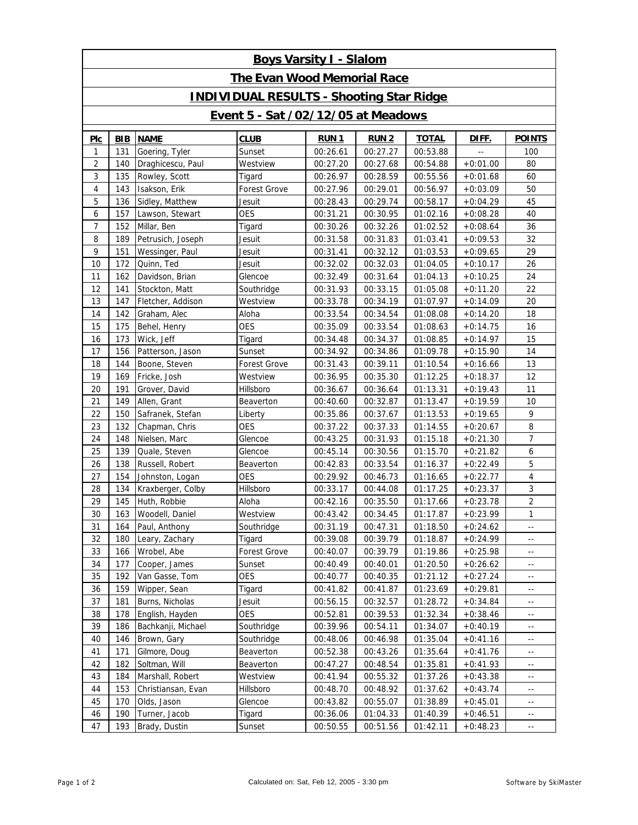| <b>Boys Varsity I - Slalom</b>                  |            |                    |                     |             |             |              |            |                          |  |  |  |  |  |
|-------------------------------------------------|------------|--------------------|---------------------|-------------|-------------|--------------|------------|--------------------------|--|--|--|--|--|
| <b>The Evan Wood Memorial Race</b>              |            |                    |                     |             |             |              |            |                          |  |  |  |  |  |
| <b>INDIVIDUAL RESULTS - Shooting Star Ridge</b> |            |                    |                     |             |             |              |            |                          |  |  |  |  |  |
| <b>Event 5 - Sat /02/12/05 at Meadows</b>       |            |                    |                     |             |             |              |            |                          |  |  |  |  |  |
| PIC                                             | <b>BIB</b> | <b>NAME</b>        | <b>CLUB</b>         | <b>RUN1</b> | <b>RUN2</b> | <b>TOTAL</b> | DIFF.      | <b>POINTS</b>            |  |  |  |  |  |
| 1                                               | 131        | Goering, Tyler     | Sunset              | 00:26.61    | 00:27.27    | 00:53.88     |            | 100                      |  |  |  |  |  |
| 2                                               | 140        | Draghicescu, Paul  | Westview            | 00:27.20    | 00:27.68    | 00:54.88     | $+0:01.00$ | 80                       |  |  |  |  |  |
| 3                                               | 135        | Rowley, Scott      | Tigard              | 00:26.97    | 00:28.59    | 00:55.56     | $+0:01.68$ | 60                       |  |  |  |  |  |
| 4                                               | 143        | Isakson, Erik      | <b>Forest Grove</b> | 00:27.96    | 00:29.01    | 00:56.97     | $+0:03.09$ | 50                       |  |  |  |  |  |
| 5                                               | 136        | Sidley, Matthew    | Jesuit              | 00:28.43    | 00:29.74    | 00:58.17     | $+0:04.29$ | 45                       |  |  |  |  |  |
| 6                                               | 157        | Lawson, Stewart    | <b>OES</b>          | 00:31.21    | 00:30.95    | 01:02.16     | $+0:08.28$ | 40                       |  |  |  |  |  |
| 7                                               | 152        | Millar, Ben        | Tigard              | 00:30.26    | 00:32.26    | 01:02.52     | $+0:08.64$ | 36                       |  |  |  |  |  |
| 8                                               | 189        | Petrusich, Joseph  | Jesuit              | 00:31.58    | 00:31.83    | 01:03.41     | $+0:09.53$ | 32                       |  |  |  |  |  |
| 9                                               | 151        | Wessinger, Paul    | Jesuit              | 00:31.41    | 00:32.12    | 01:03.53     | $+0:09.65$ | 29                       |  |  |  |  |  |
| 10                                              | 172        | Quinn, Ted         | Jesuit              | 00:32.02    | 00:32.03    | 01:04.05     | $+0:10.17$ | 26                       |  |  |  |  |  |
| 11                                              | 162        | Davidson, Brian    | Glencoe             | 00:32.49    | 00:31.64    | 01:04.13     | $+0:10.25$ | 24                       |  |  |  |  |  |
| 12                                              | 141        | Stockton, Matt     | Southridge          | 00:31.93    | 00:33.15    | 01:05.08     | $+0:11.20$ | 22                       |  |  |  |  |  |
| 13                                              | 147        | Fletcher, Addison  | Westview            | 00:33.78    | 00:34.19    | 01:07.97     | $+0:14.09$ | 20                       |  |  |  |  |  |
| 14                                              | 142        | Graham, Alec       | Aloha               | 00:33.54    | 00:34.54    | 01:08.08     | $+0:14.20$ | 18                       |  |  |  |  |  |
| 15                                              | 175        | Behel, Henry       | <b>OES</b>          | 00:35.09    | 00:33.54    | 01:08.63     | $+0:14.75$ | 16                       |  |  |  |  |  |
| 16                                              | 173        | Wick, Jeff         | Tigard              | 00:34.48    | 00:34.37    | 01:08.85     | $+0:14.97$ | 15                       |  |  |  |  |  |
| 17                                              | 156        | Patterson, Jason   | Sunset              | 00:34.92    | 00:34.86    | 01:09.78     | $+0:15.90$ | 14                       |  |  |  |  |  |
| 18                                              | 144        | Boone, Steven      | <b>Forest Grove</b> | 00:31.43    | 00:39.11    | 01:10.54     | $+0:16.66$ | 13                       |  |  |  |  |  |
| 19                                              | 169        | Fricke, Josh       | Westview            | 00:36.95    | 00:35.30    | 01:12.25     | $+0:18.37$ | 12                       |  |  |  |  |  |
| 20                                              | 191        | Grover, David      | Hillsboro           | 00:36.67    | 00:36.64    | 01:13.31     | $+0:19.43$ | 11                       |  |  |  |  |  |
| 21                                              | 149        | Allen, Grant       | Beaverton           | 00:40.60    | 00:32.87    | 01:13.47     | $+0:19.59$ | 10                       |  |  |  |  |  |
| 22                                              | 150        | Safranek, Stefan   | Liberty             | 00:35.86    | 00:37.67    | 01:13.53     | $+0:19.65$ | 9                        |  |  |  |  |  |
| 23                                              | 132        | Chapman, Chris     | <b>OES</b>          | 00:37.22    | 00:37.33    | 01:14.55     | $+0:20.67$ | 8                        |  |  |  |  |  |
| 24                                              | 148        | Nielsen, Marc      | Glencoe             | 00:43.25    | 00:31.93    | 01:15.18     | $+0:21.30$ | $\overline{7}$           |  |  |  |  |  |
| 25                                              | 139        | Quale, Steven      | Glencoe             | 00:45.14    | 00:30.56    | 01:15.70     | $+0:21.82$ | 6                        |  |  |  |  |  |
| 26                                              | 138        | Russell, Robert    | Beaverton           | 00:42.83    | 00:33.54    | 01:16.37     | $+0:22.49$ | 5                        |  |  |  |  |  |
| 27                                              | 154        | Johnston, Logan    | <b>OES</b>          | 00:29.92    | 00:46.73    | 01:16.65     | $+0:22.77$ | $\overline{4}$           |  |  |  |  |  |
| 28                                              | 134        | Kraxberger, Colby  | Hillsboro           | 00:33.17    | 00:44.08    | 01:17.25     | $+0:23.37$ | 3                        |  |  |  |  |  |
| 29                                              | 145        | Huth, Robbie       | Aloha               | 00:42.16    | 00:35.50    | 01:17.66     | $+0:23.78$ | $\overline{2}$           |  |  |  |  |  |
| 30                                              | 163        | Woodell, Daniel    | Westview            | 00:43.42    | 00:34.45    | 01:17.87     | $+0:23.99$ | $\mathbf{1}$             |  |  |  |  |  |
| 31                                              | 164        | Paul, Anthony      | Southridge          | 00:31.19    | 00:47.31    | 01:18.50     | $+0:24.62$ | н,                       |  |  |  |  |  |
| 32                                              | 180        | Leary, Zachary     | Tigard              | 00:39.08    | 00:39.79    | 01:18.87     | $+0:24.99$ | $\overline{\phantom{a}}$ |  |  |  |  |  |
| 33                                              | 166        | Wrobel, Abe        | Forest Grove        | 00:40.07    | 00:39.79    | 01:19.86     | $+0:25.98$ | н,                       |  |  |  |  |  |
| 34                                              | 177        | Cooper, James      | Sunset              | 00:40.49    | 00:40.01    | 01:20.50     | $+0:26.62$ | н,                       |  |  |  |  |  |
| 35                                              | 192        | Van Gasse, Tom     | OES                 | 00:40.77    | 00:40.35    | 01:21.12     | $+0:27.24$ | $\overline{\phantom{a}}$ |  |  |  |  |  |
| 36                                              | 159        | Wipper, Sean       | Tigard              | 00:41.82    | 00:41.87    | 01:23.69     | $+0:29.81$ | н,                       |  |  |  |  |  |
| 37                                              | 181        | Burns, Nicholas    | Jesuit              | 00:56.15    | 00:32.57    | 01:28.72     | $+0:34.84$ | $\overline{\phantom{a}}$ |  |  |  |  |  |
| 38                                              | 178        | English, Hayden    | OES                 | 00:52.81    | 00:39.53    | 01:32.34     | $+0:38.46$ | н,                       |  |  |  |  |  |
| 39                                              | 186        | Bachkanji, Michael | Southridge          | 00:39.96    | 00:54.11    | 01:34.07     | $+0:40.19$ | $\overline{\phantom{a}}$ |  |  |  |  |  |
| 40                                              | 146        | Brown, Gary        | Southridge          | 00:48.06    | 00:46.98    | 01:35.04     | $+0:41.16$ | н,                       |  |  |  |  |  |
| 41                                              | 171        | Gilmore, Doug      | Beaverton           | 00:52.38    | 00:43.26    | 01:35.64     | $+0:41.76$ | $\overline{\phantom{a}}$ |  |  |  |  |  |
| 42                                              | 182        | Soltman, Will      | Beaverton           | 00:47.27    | 00:48.54    | 01:35.81     | $+0:41.93$ | н,                       |  |  |  |  |  |
| 43                                              | 184        | Marshall, Robert   | Westview            | 00:41.94    | 00:55.32    | 01:37.26     | $+0:43.38$ | $\overline{\phantom{a}}$ |  |  |  |  |  |
| 44                                              | 153        | Christiansan, Evan | Hillsboro           | 00:48.70    | 00:48.92    | 01:37.62     | $+0:43.74$ | н,                       |  |  |  |  |  |
| 45                                              | 170        | Olds, Jason        | Glencoe             | 00:43.82    | 00:55.07    | 01:38.89     | $+0:45.01$ | $\overline{\phantom{a}}$ |  |  |  |  |  |
| 46                                              | 190        | Turner, Jacob      | Tigard              | 00:36.06    | 01:04.33    | 01:40.39     | $+0:46.51$ | $\overline{\phantom{a}}$ |  |  |  |  |  |
| 47                                              | 193        | Brady, Dustin      | Sunset              | 00:50.55    | 00:51.56    | 01:42.11     | $+0:48.23$ | $\overline{\phantom{a}}$ |  |  |  |  |  |